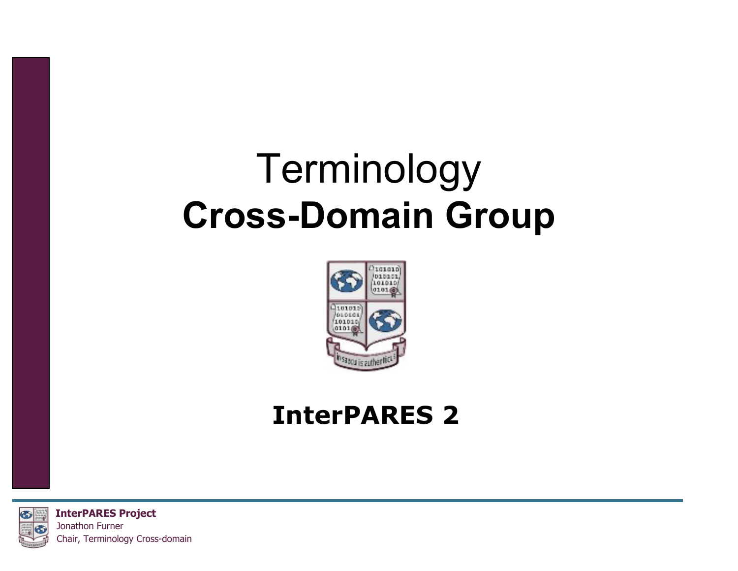#### Terminology **Cross-Domain Group**



#### **InterPARES 2**



**InterPARES Project** Jonathon Furner Chair, Terminology Cross-domain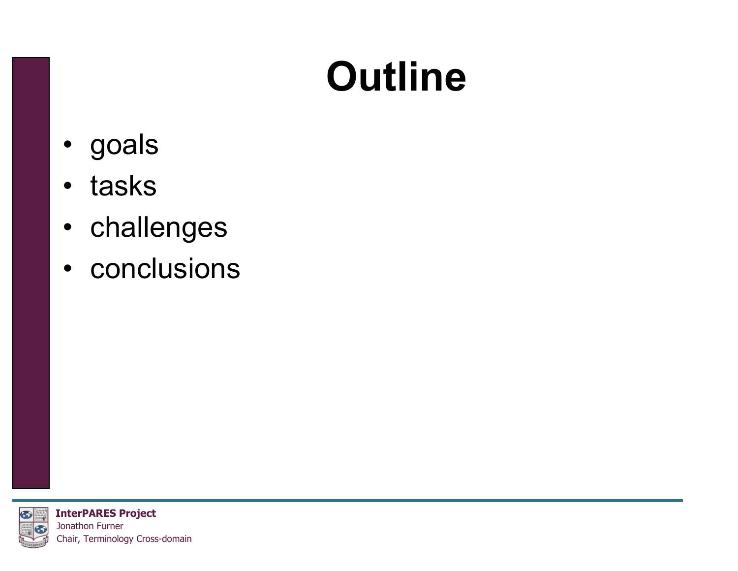## **Outline**

- goals
- tasks
- challenges
- conclusions



**InterPARES Project** Jonathon Furner Chair, Terminology Cross-domain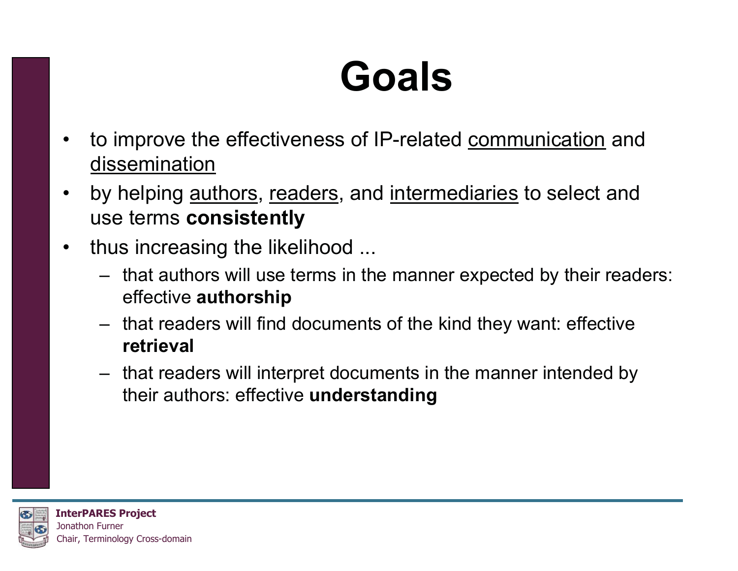## **Goals**

- • to improve the effectiveness of IP-related communication and dissemination
- $\bullet$ by helping *authors, readers*, and *intermediaries* to select and use terms **consistently**
- $\bullet$  thus increasing the likelihood ...
	- that authors will use terms in the manner expected by their readers: effective **authorship**
	- that readers will find documents of the kind they want: effective **retrieval**
	- that readers will interpret documents in the manner intended by their authors: effective **understanding**

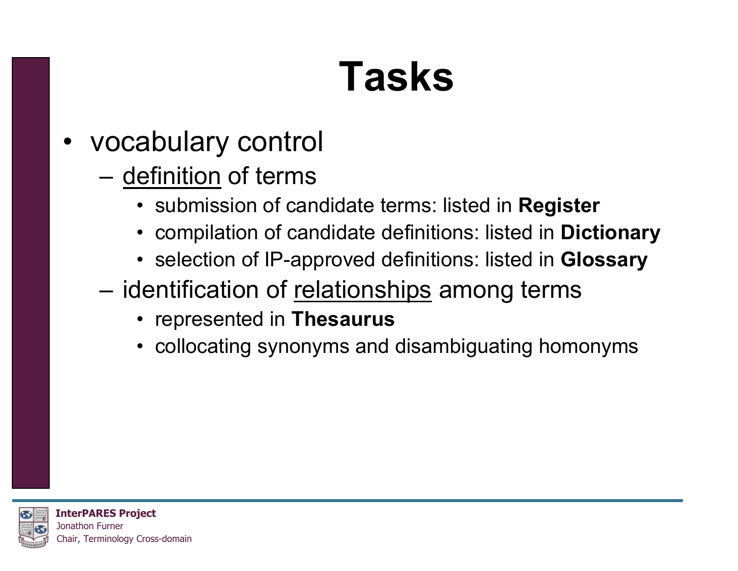## **Tasks**

- vocabulary control
	- definition of terms
		- submission of candidate terms: listed in **Register**
		- compilation of candidate definitions: listed in **Dictionary**
		- selection of IP-approved definitions: listed in **Glossary**
	- –identification of relationships among terms
		- represented in **Thesaurus**
		- collocating synonyms and disambiguating homonyms

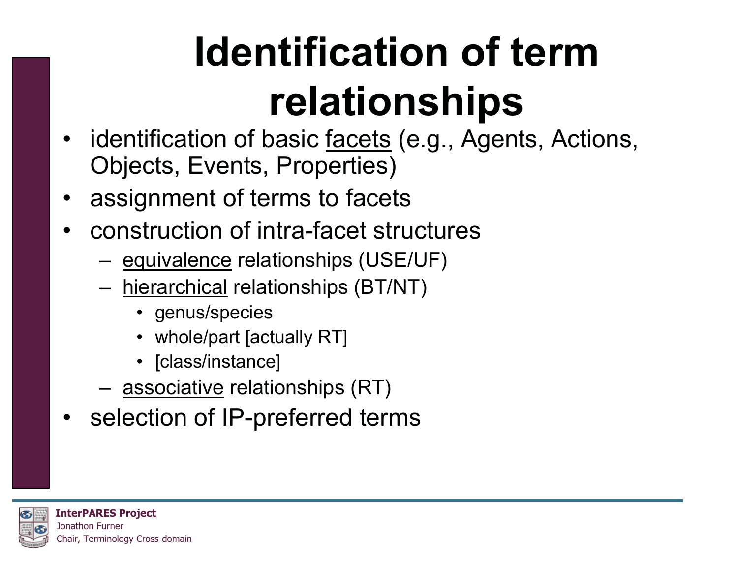# **Identification of term relationships**

- identification of basic <u>facets</u> (e.g., Agents, Actions, Objects, Events, Properties)
- •assignment of terms to facets
- • construction of intra-facet structures
	- –equivalence relationships (USE/UF)
	- – hierarchical relationships (BT/NT)
		- genus/species
		- whole/part [actually RT]
		- [class/instance]
	- –<u>associative</u> relationships (RT)
- selection of IP-preferred terms

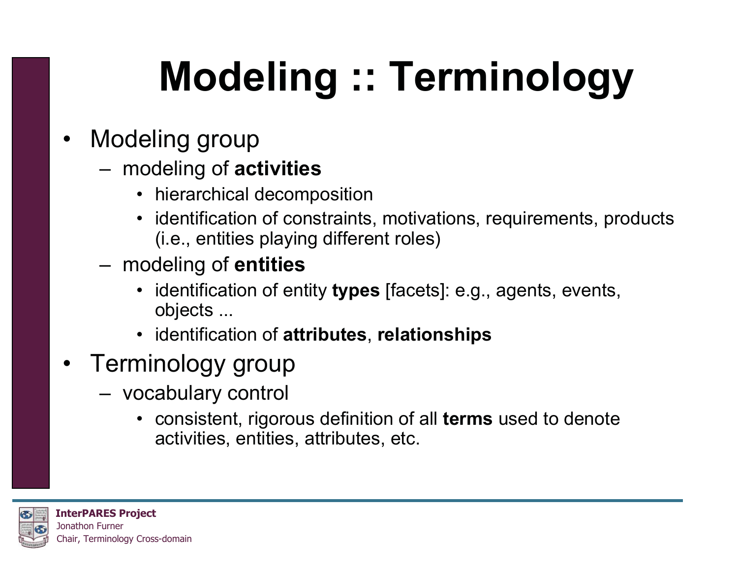# **Modeling :: Terminology**

- • Modeling group
	- – modeling of **activities**
		- hierarchical decomposition
		- identification of constraints, motivations, requirements, products (i.e., entities playing different roles)
	- – modeling of **entities**
		- identification of entity **types** [facets]: e.g., agents, events, objects ...
		- identification of **attributes**, **relationships**
- Terminology group
	- – vocabulary control
		- consistent, rigorous definition of all **terms** used to denote activities, entities, attributes, etc.

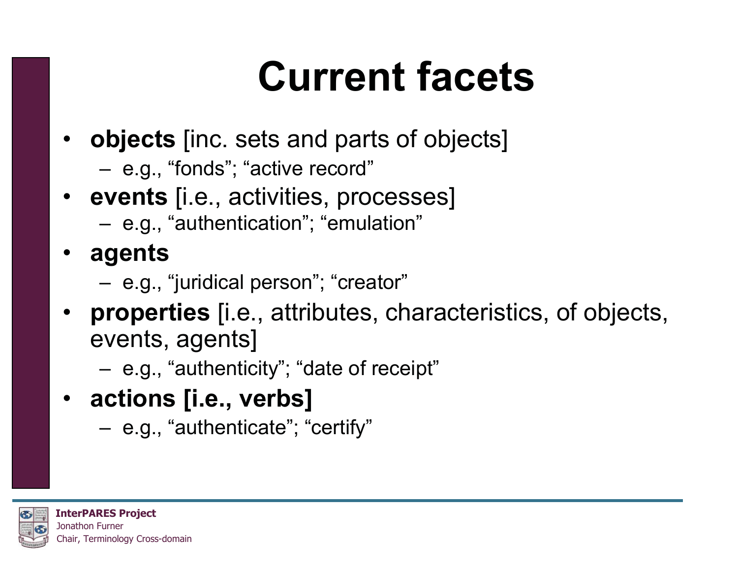## **Current facets**

- **objects** [inc. sets and parts of objects]
	- –e.g., "fonds"; "active record"
- **events** [i.e., activities, processes]
	- –e.g., "authentication"; "emulation"
- **agents**
	- –e.g., "juridical person"; "creator"
- **properties** [i.e., attributes, characteristics, of objects, events, agents]
	- –e.g., "authenticity"; "date of receipt"
- **actions [i.e., verbs]**
	- –e.g., "authenticate"; "certify"

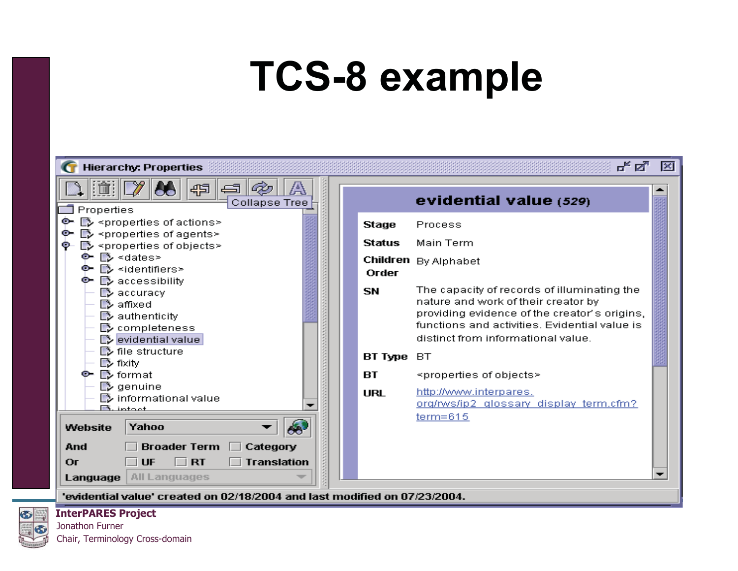### **TCS-8 example**



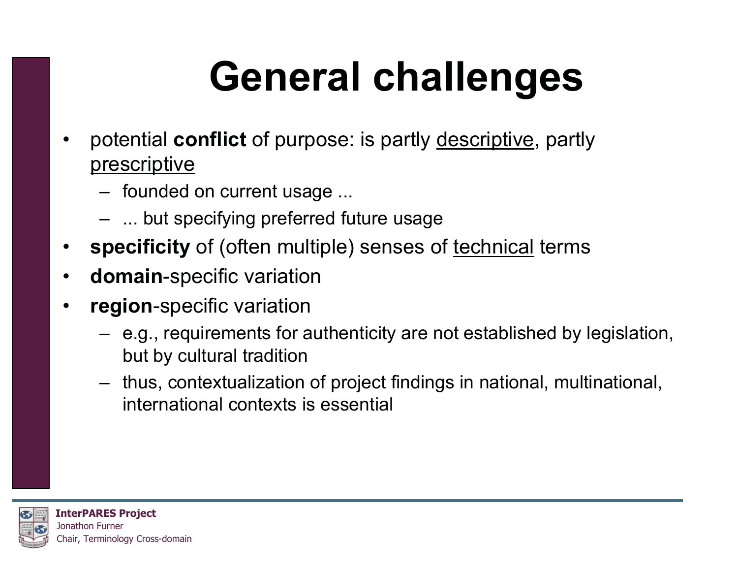# **General challenges**

- • potential **conflict** of purpose: is partly descriptive, partly prescriptive
	- founded on current usage ...
	- ... but specifying preferred future usage
- •**specificity** of (often multiple) senses of technical terms
- $\bullet$ **domain**-specific variation
- • **region**-specific variation
	- e.g., requirements for authenticity are not established by legislation, but by cultural tradition
	- thus, contextualization of project findings in national, multinational, international contexts is essential

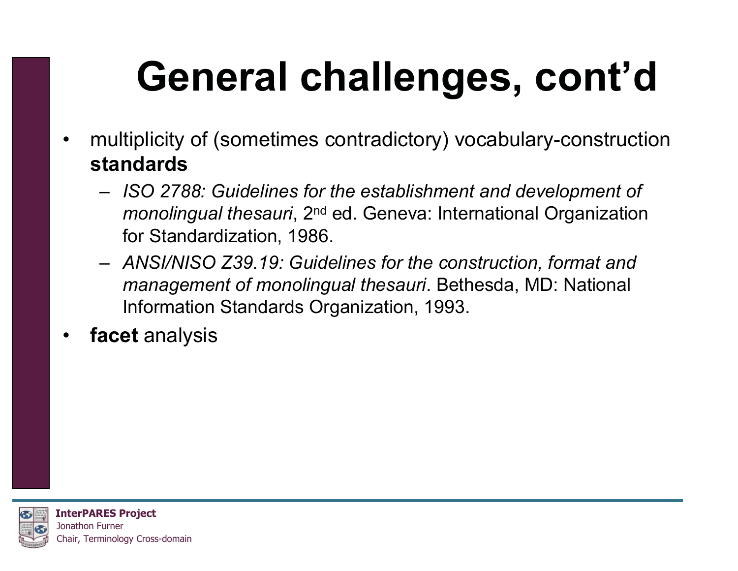# **General challenges, cont'd**

- • multiplicity of (sometimes contradictory) vocabulary-construction **standards**
	- *ISO 2788: Guidelines for the establishment and development of monolingual thesauri,* 2<sup>nd</sup> ed. Geneva: International Organization for Standardization, 1986.
	- *ANSI/NISO Z39.19: Guidelines for the construction, format and management of monolingual thesauri*. Bethesda, MD: National Information Standards Organization, 1993.
- •**facet** analysis

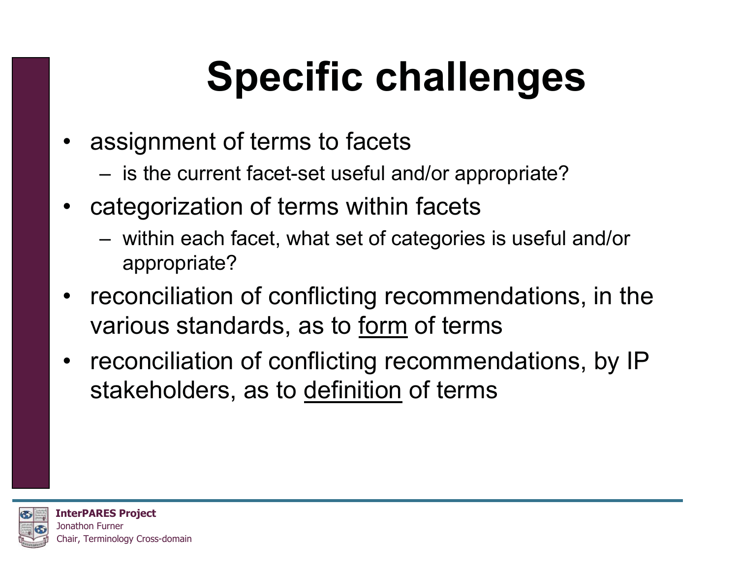# **Specific challenges**

- assignment of terms to facets
	- –is the current facet-set useful and/or appropriate?
- • categorization of terms within facets
	- – within each facet, what set of categories is useful and/or appropriate?
- • reconciliation of conflicting recommendations, in the various standards, as to form of terms
- reconciliation of conflicting recommendations, by IP stakeholders, as to definition of terms

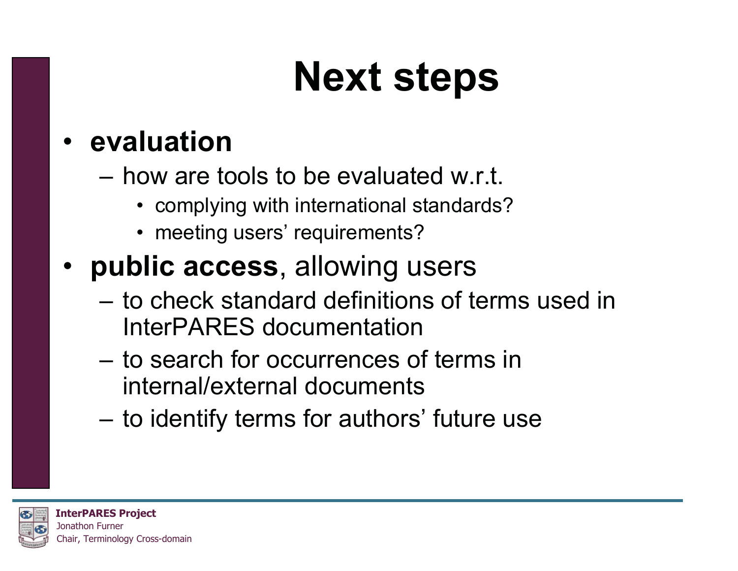## **Next steps**

#### • **evaluation**

- how are tools to be evaluated w.r.t.
	- complying with international standards?
	- meeting users' requirements?
- **public access**, allowing users
	- to check standard definitions of terms used in InterPARES documentation
	- to search for occurrences of terms in internal/external documents
	- –to identify terms for authors' future use

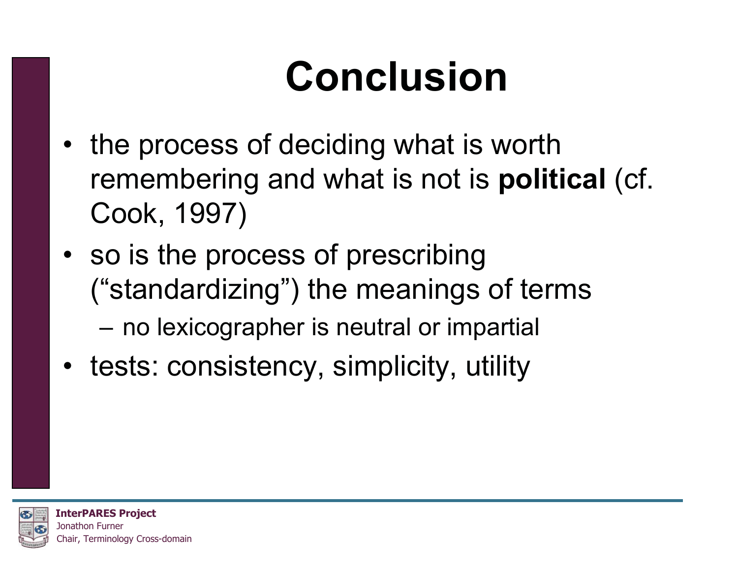# **Conclusion**

- the process of deciding what is worth remembering and what is not is **political** (cf. Cook, 1997)
- so is the process of prescribing ("standardizing") the meanings of terms –no lexicographer is neutral or impartial
- tests: consistency, simplicity, utility